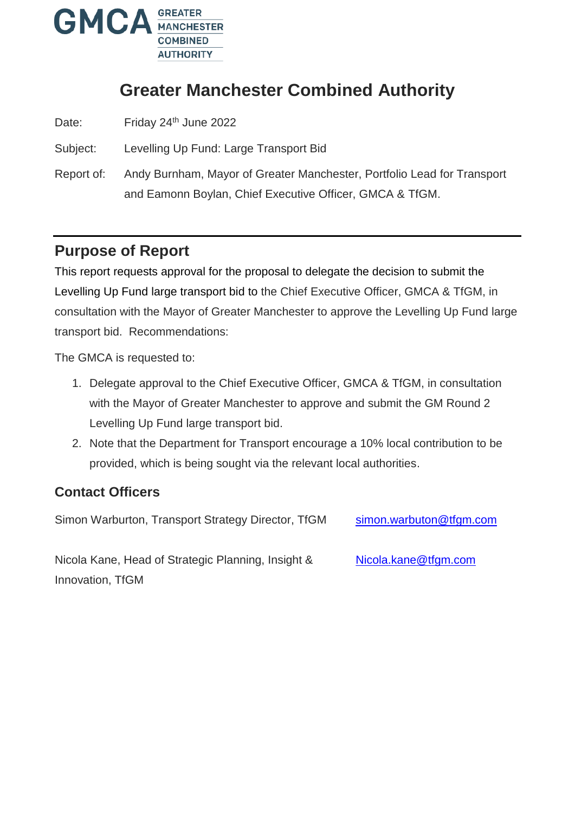

# **Greater Manchester Combined Authority**

Date: Friday 24<sup>th</sup> June 2022

Subject: Levelling Up Fund: Large Transport Bid

Report of: Andy Burnham, Mayor of Greater Manchester, Portfolio Lead for Transport and Eamonn Boylan, Chief Executive Officer, GMCA & TfGM.

## **Purpose of Report**

This report requests approval for the proposal to delegate the decision to submit the Levelling Up Fund large transport bid to the Chief Executive Officer, GMCA & TfGM, in consultation with the Mayor of Greater Manchester to approve the Levelling Up Fund large transport bid. Recommendations:

The GMCA is requested to:

- 1. Delegate approval to the Chief Executive Officer, GMCA & TfGM, in consultation with the Mayor of Greater Manchester to approve and submit the GM Round 2 Levelling Up Fund large transport bid.
- 2. Note that the Department for Transport encourage a 10% local contribution to be provided, which is being sought via the relevant local authorities.

### **Contact Officers**

Simon Warburton, Transport Strategy Director, TfGM [simon.warbuton@tfgm.com](mailto:simon.warbuton@tfgm.com)

Nicola Kane, Head of Strategic Planning, Insight & Innovation, TfGM [Nicola.kane@tfgm.com](mailto:Nicola.kane@tfgm.com)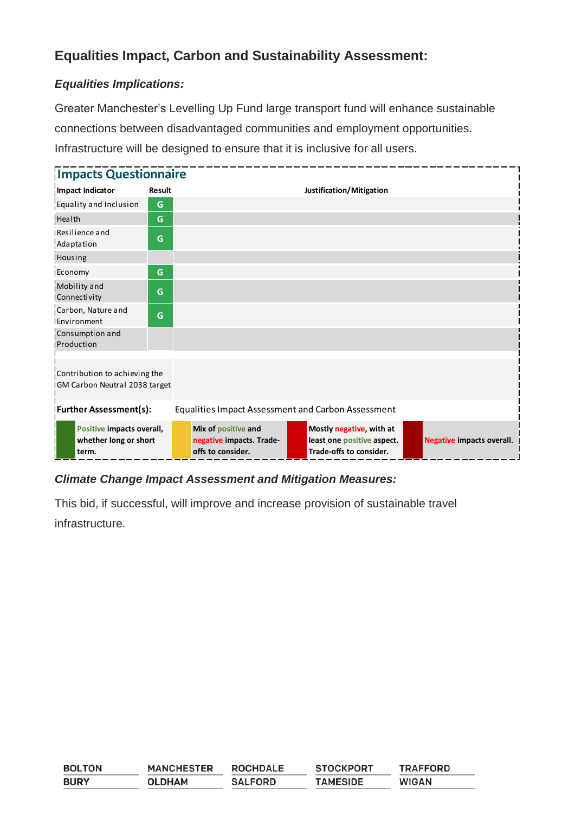### **Equalities Impact, Carbon and Sustainability Assessment:**

### *Equalities Implications:*

Greater Manchester's Levelling Up Fund large transport fund will enhance sustainable connections between disadvantaged communities and employment opportunities. Infrastructure will be designed to ensure that it is inclusive for all users.

| <b>Impacts Questionnaire</b>                                    |                                                                                            |                                                                      |                                                                                   |                                  |
|-----------------------------------------------------------------|--------------------------------------------------------------------------------------------|----------------------------------------------------------------------|-----------------------------------------------------------------------------------|----------------------------------|
| Impact Indicator                                                | <b>Result</b>                                                                              |                                                                      | Justification/Mitigation                                                          |                                  |
| Equality and Inclusion                                          | G                                                                                          |                                                                      |                                                                                   |                                  |
| Health                                                          | G                                                                                          |                                                                      |                                                                                   |                                  |
| Resilience and<br>Adaptation                                    | G                                                                                          |                                                                      |                                                                                   |                                  |
| <b>Housing</b>                                                  |                                                                                            |                                                                      |                                                                                   |                                  |
| Economy                                                         | G                                                                                          |                                                                      |                                                                                   |                                  |
| Mobility and<br>Connectivity                                    | G                                                                                          |                                                                      |                                                                                   |                                  |
| Carbon, Nature and<br>Environment                               | G                                                                                          |                                                                      |                                                                                   |                                  |
| Consumption and<br><b>IProduction</b>                           |                                                                                            |                                                                      |                                                                                   |                                  |
| Contribution to achieving the<br>IGM Carbon Neutral 2038 target |                                                                                            |                                                                      |                                                                                   |                                  |
|                                                                 | <b>Further Assessment(s):</b><br><b>Equalities Impact Assessment and Carbon Assessment</b> |                                                                      |                                                                                   |                                  |
| Positive impacts overall,<br>whether long or short<br>term.     |                                                                                            | Mix of positive and<br>negative impacts. Trade-<br>offs to consider. | Mostly negative, with at<br>least one positive aspect.<br>Trade-offs to consider. | <b>Negative impacts overall.</b> |

### *Climate Change Impact Assessment and Mitigation Measures:*

This bid, if successful, will improve and increase provision of sustainable travel infrastructure.

| <b>BOLTON</b> | <b>MANCHESTER</b> | <b>ROCHDALE</b> | <b>STOCKPORT</b> | <b>TRAFFORD</b> |
|---------------|-------------------|-----------------|------------------|-----------------|
| <b>BURY</b>   | <b>OLDHAM</b>     | <b>SALFORD</b>  | <b>TAMESIDE</b>  | <b>WIGAN</b>    |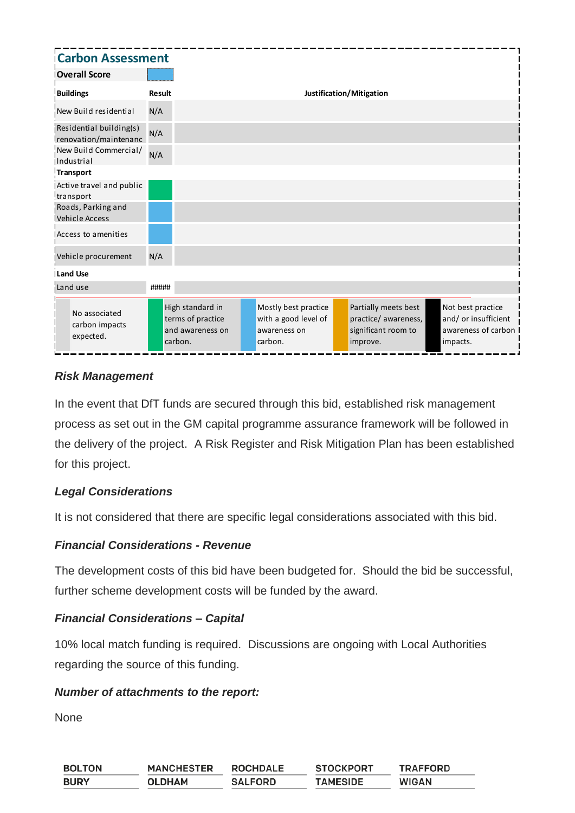| <b>Carbon Assessment</b>                         |               |                                                                      |                                                                         |                                                                                 |                                                                              |
|--------------------------------------------------|---------------|----------------------------------------------------------------------|-------------------------------------------------------------------------|---------------------------------------------------------------------------------|------------------------------------------------------------------------------|
| <b>Overall Score</b>                             |               |                                                                      |                                                                         |                                                                                 |                                                                              |
| <b>Buildings</b>                                 | <b>Result</b> |                                                                      |                                                                         | Justification/Mitigation                                                        |                                                                              |
| New Build residential                            | N/A           |                                                                      |                                                                         |                                                                                 |                                                                              |
| Residential building(s)<br>renovation/maintenanc | N/A           |                                                                      |                                                                         |                                                                                 |                                                                              |
| New Build Commercial/<br>Industrial              | N/A           |                                                                      |                                                                         |                                                                                 |                                                                              |
| Transport                                        |               |                                                                      |                                                                         |                                                                                 |                                                                              |
| Active travel and public<br>transport            |               |                                                                      |                                                                         |                                                                                 |                                                                              |
| Roads, Parking and<br>Vehicle Access             |               |                                                                      |                                                                         |                                                                                 |                                                                              |
| Access to amenities                              |               |                                                                      |                                                                         |                                                                                 |                                                                              |
| Vehicle procurement                              | N/A           |                                                                      |                                                                         |                                                                                 |                                                                              |
| <b>ILand Use</b>                                 |               |                                                                      |                                                                         |                                                                                 |                                                                              |
| Land use                                         | #####         |                                                                      |                                                                         |                                                                                 |                                                                              |
| No associated<br>carbon impacts<br>expected.     |               | High standard in<br>terms of practice<br>and awareness on<br>carbon. | Mostly best practice<br>with a good level of<br>awareness on<br>carbon. | Partially meets best<br>practice/ awareness,<br>significant room to<br>improve. | Not best practice<br>and/ or insufficient<br>awareness of carbon<br>impacts. |

#### *Risk Management*

In the event that DfT funds are secured through this bid, established risk management process as set out in the GM capital programme assurance framework will be followed in the delivery of the project. A Risk Register and Risk Mitigation Plan has been established for this project.

#### *Legal Considerations*

It is not considered that there are specific legal considerations associated with this bid.

#### *Financial Considerations - Revenue*

The development costs of this bid have been budgeted for. Should the bid be successful, further scheme development costs will be funded by the award.

#### *Financial Considerations – Capital*

10% local match funding is required. Discussions are ongoing with Local Authorities regarding the source of this funding.

#### *Number of attachments to the report:*

None

| <b>BOLTON</b> | <b>MANCHESTER</b> | <b>ROCHDALE</b> | <b>STOCKPORT</b> | <b>TRAFFORD</b> |
|---------------|-------------------|-----------------|------------------|-----------------|
| <b>BURY</b>   | <b>OLDHAM</b>     | <b>SALFORD</b>  | <b>TAMESIDE</b>  | <b>WIGAN</b>    |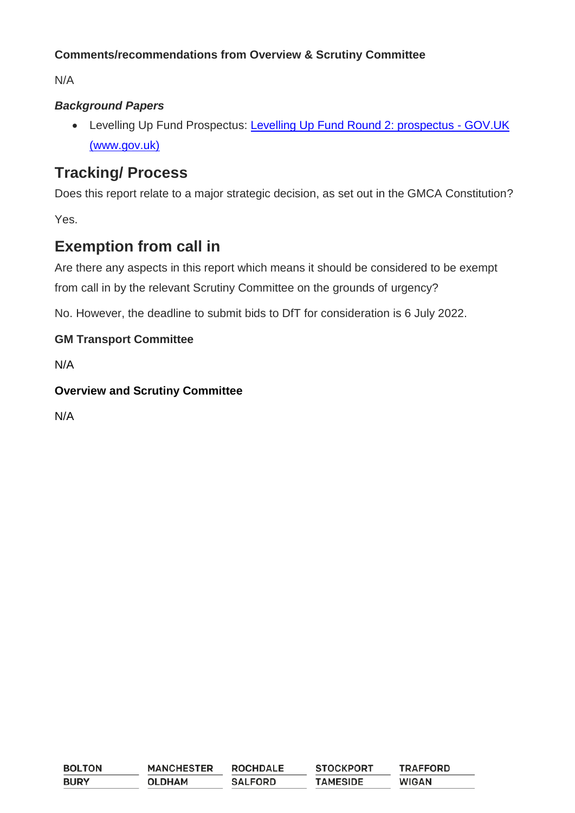### **Comments/recommendations from Overview & Scrutiny Committee**

N/A

### *Background Papers*

 Levelling Up Fund Prospectus: [Levelling Up Fund Round 2: prospectus -](https://www.gov.uk/government/publications/levelling-up-fund-round-2-prospectus) GOV.UK [\(www.gov.uk\)](https://www.gov.uk/government/publications/levelling-up-fund-round-2-prospectus)

## **Tracking/ Process**

Does this report relate to a major strategic decision, as set out in the GMCA Constitution?

Yes.

## **Exemption from call in**

Are there any aspects in this report which means it should be considered to be exempt from call in by the relevant Scrutiny Committee on the grounds of urgency?

No. However, the deadline to submit bids to DfT for consideration is 6 July 2022.

### **GM Transport Committee**

N/A

### **Overview and Scrutiny Committee**

N/A

| <b>BOLTON</b> | <b>MANCHESTER</b> | <b>ROCHDALE</b> | <b>STOCKPORT</b> | <b>TRAFFORD</b> |
|---------------|-------------------|-----------------|------------------|-----------------|
| <b>BURY</b>   | <b>OLDHAM</b>     | <b>SALFORD</b>  | <b>TAMESIDE</b>  | <b>WIGAN</b>    |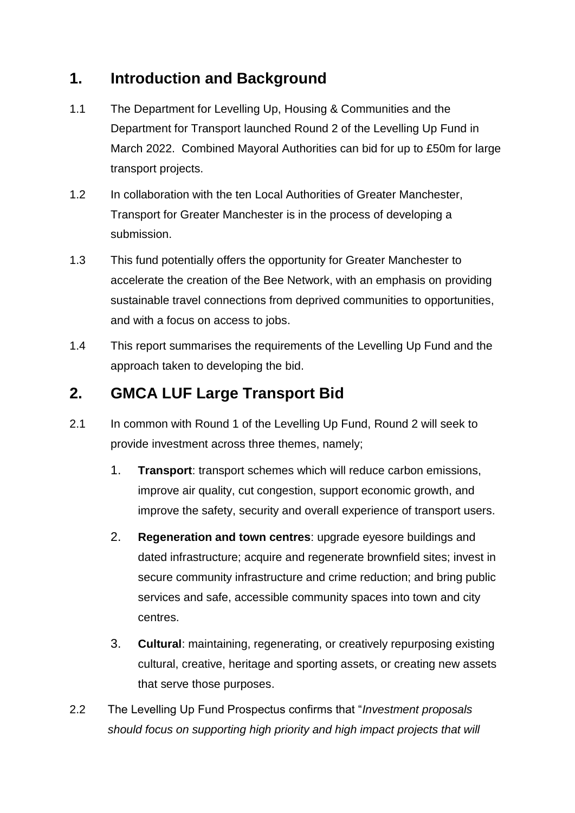## **1. Introduction and Background**

- 1.1 The Department for Levelling Up, Housing & Communities and the Department for Transport launched Round 2 of the Levelling Up Fund in March 2022. Combined Mayoral Authorities can bid for up to £50m for large transport projects.
- 1.2 In collaboration with the ten Local Authorities of Greater Manchester, Transport for Greater Manchester is in the process of developing a submission.
- 1.3 This fund potentially offers the opportunity for Greater Manchester to accelerate the creation of the Bee Network, with an emphasis on providing sustainable travel connections from deprived communities to opportunities, and with a focus on access to jobs.
- 1.4 This report summarises the requirements of the Levelling Up Fund and the approach taken to developing the bid.

## **2. GMCA LUF Large Transport Bid**

- 2.1 In common with Round 1 of the Levelling Up Fund, Round 2 will seek to provide investment across three themes, namely;
	- 1. **Transport**: transport schemes which will reduce carbon emissions, improve air quality, cut congestion, support economic growth, and improve the safety, security and overall experience of transport users.
	- 2. **Regeneration and town centres**: upgrade eyesore buildings and dated infrastructure; acquire and regenerate brownfield sites; invest in secure community infrastructure and crime reduction; and bring public services and safe, accessible community spaces into town and city centres.
	- 3. **Cultural**: maintaining, regenerating, or creatively repurposing existing cultural, creative, heritage and sporting assets, or creating new assets that serve those purposes.
- 2.2 The Levelling Up Fund Prospectus confirms that "*Investment proposals should focus on supporting high priority and high impact projects that will*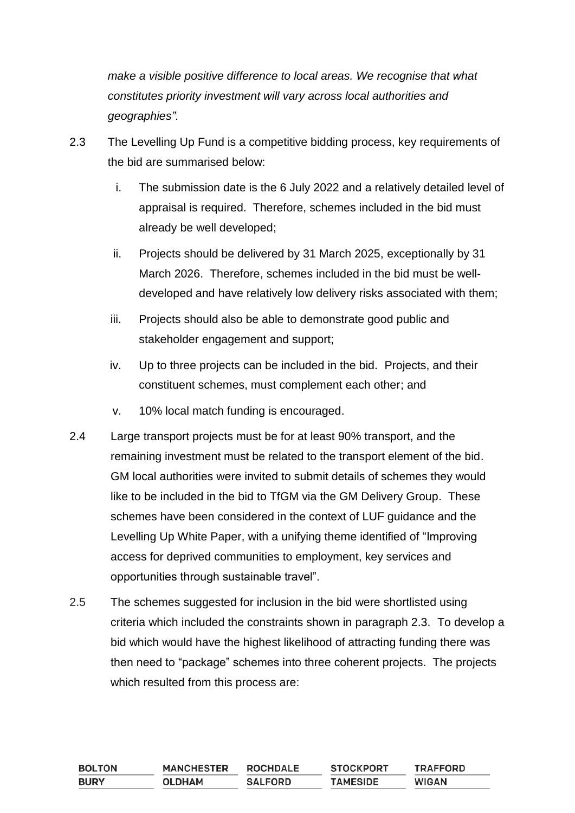*make a visible positive difference to local areas. We recognise that what constitutes priority investment will vary across local authorities and geographies".*

- 2.3 The Levelling Up Fund is a competitive bidding process, key requirements of the bid are summarised below:
	- i. The submission date is the 6 July 2022 and a relatively detailed level of appraisal is required. Therefore, schemes included in the bid must already be well developed;
	- ii. Projects should be delivered by 31 March 2025, exceptionally by 31 March 2026. Therefore, schemes included in the bid must be welldeveloped and have relatively low delivery risks associated with them;
	- iii. Projects should also be able to demonstrate good public and stakeholder engagement and support;
	- iv. Up to three projects can be included in the bid. Projects, and their constituent schemes, must complement each other; and
	- v. 10% local match funding is encouraged.
- 2.4 Large transport projects must be for at least 90% transport, and the remaining investment must be related to the transport element of the bid. GM local authorities were invited to submit details of schemes they would like to be included in the bid to TfGM via the GM Delivery Group. These schemes have been considered in the context of LUF guidance and the Levelling Up White Paper, with a unifying theme identified of "Improving access for deprived communities to employment, key services and opportunities through sustainable travel".
- 2.5 The schemes suggested for inclusion in the bid were shortlisted using criteria which included the constraints shown in paragraph 2.3. To develop a bid which would have the highest likelihood of attracting funding there was then need to "package" schemes into three coherent projects. The projects which resulted from this process are:

| <b>BOLTON</b> | <b>MANCHESTER</b> | <b>ROCHDALE</b> | <b>STOCKPORT</b> | TRAFFORD     |
|---------------|-------------------|-----------------|------------------|--------------|
| <b>BURY</b>   | <b>OLDHAM</b>     | <b>SALFORD</b>  | <b>TAMESIDE</b>  | <b>WIGAN</b> |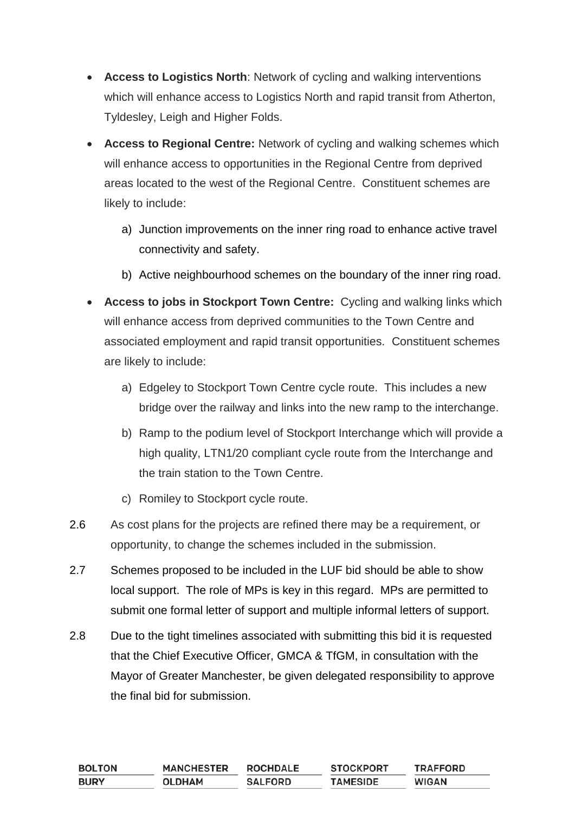- **Access to Logistics North**: Network of cycling and walking interventions which will enhance access to Logistics North and rapid transit from Atherton, Tyldesley, Leigh and Higher Folds.
- **Access to Regional Centre:** Network of cycling and walking schemes which will enhance access to opportunities in the Regional Centre from deprived areas located to the west of the Regional Centre. Constituent schemes are likely to include:
	- a) Junction improvements on the inner ring road to enhance active travel connectivity and safety.
	- b) Active neighbourhood schemes on the boundary of the inner ring road.
- **Access to jobs in Stockport Town Centre:** Cycling and walking links which will enhance access from deprived communities to the Town Centre and associated employment and rapid transit opportunities. Constituent schemes are likely to include:
	- a) Edgeley to Stockport Town Centre cycle route. This includes a new bridge over the railway and links into the new ramp to the interchange.
	- b) Ramp to the podium level of Stockport Interchange which will provide a high quality, LTN1/20 compliant cycle route from the Interchange and the train station to the Town Centre.
	- c) Romiley to Stockport cycle route.
- 2.6 As cost plans for the projects are refined there may be a requirement, or opportunity, to change the schemes included in the submission.
- 2.7 Schemes proposed to be included in the LUF bid should be able to show local support. The role of MPs is key in this regard. MPs are permitted to submit one formal letter of support and multiple informal letters of support.
- 2.8 Due to the tight timelines associated with submitting this bid it is requested that the Chief Executive Officer, GMCA & TfGM, in consultation with the Mayor of Greater Manchester, be given delegated responsibility to approve the final bid for submission.

| <b>BOLTON</b> | <b>MANCHESTER</b> | <b>ROCHDALE</b> | <b>STOCKPORT</b> | <b>TRAFFORD</b> |
|---------------|-------------------|-----------------|------------------|-----------------|
| <b>BURY</b>   | <b>OLDHAM</b>     | <b>SALFORD</b>  | <b>TAMESIDE</b>  | <b>WIGAN</b>    |